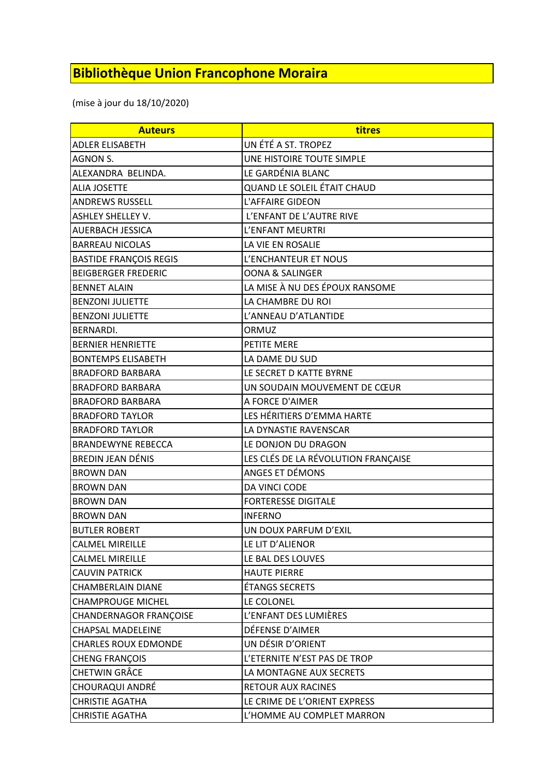## **Bibliothèque Union Francophone Moraira**

(mise à jour du 18/10/2020)

| <b>Auteurs</b>                | titres                              |
|-------------------------------|-------------------------------------|
| ADLER ELISABETH               | UN ÉTÉ A ST. TROPEZ                 |
| <b>AGNON S.</b>               | UNE HISTOIRE TOUTE SIMPLE           |
| ALEXANDRA BELINDA.            | LE GARDÉNIA BLANC                   |
| <b>ALIA JOSETTE</b>           | QUAND LE SOLEIL ÉTAIT CHAUD         |
| <b>ANDREWS RUSSELL</b>        | L'AFFAIRE GIDEON                    |
| <b>ASHLEY SHELLEY V.</b>      | L'ENFANT DE L'AUTRE RIVE            |
| AUERBACH JESSICA              | L'ENFANT MEURTRI                    |
| <b>BARREAU NICOLAS</b>        | LA VIE EN ROSALIE                   |
| <b>BASTIDE FRANÇOIS REGIS</b> | L'ENCHANTEUR ET NOUS                |
| <b>BEIGBERGER FREDERIC</b>    | <b>OONA &amp; SALINGER</b>          |
| <b>BENNET ALAIN</b>           | LA MISE À NU DES ÉPOUX RANSOME      |
| <b>BENZONI JULIETTE</b>       | LA CHAMBRE DU ROI                   |
| <b>BENZONI JULIETTE</b>       | L'ANNEAU D'ATLANTIDE                |
| BERNARDI.                     | ORMUZ                               |
| <b>BERNIER HENRIETTE</b>      | PETITE MERE                         |
| <b>BONTEMPS ELISABETH</b>     | LA DAME DU SUD                      |
| <b>BRADFORD BARBARA</b>       | LE SECRET D KATTE BYRNE             |
| <b>BRADFORD BARBARA</b>       | UN SOUDAIN MOUVEMENT DE CŒUR        |
| <b>BRADFORD BARBARA</b>       | A FORCE D'AIMER                     |
| <b>BRADFORD TAYLOR</b>        | LES HÉRITIERS D'EMMA HARTE          |
| <b>BRADFORD TAYLOR</b>        | LA DYNASTIE RAVENSCAR               |
| <b>BRANDEWYNE REBECCA</b>     | LE DONJON DU DRAGON                 |
| <b>BREDIN JEAN DÉNIS</b>      | LES CLÉS DE LA RÉVOLUTION FRANÇAISE |
| <b>BROWN DAN</b>              | ANGES ET DÉMONS                     |
| <b>BROWN DAN</b>              | DA VINCI CODE                       |
| <b>BROWN DAN</b>              | <b>FORTERESSE DIGITALE</b>          |
| <b>BROWN DAN</b>              | <b>INFERNO</b>                      |
| <b>BUTLER ROBERT</b>          | UN DOUX PARFUM D'EXIL               |
| <b>CALMEL MIREILLE</b>        | LE LIT D'ALIENOR                    |
| <b>CALMEL MIREILLE</b>        | LE BAL DES LOUVES                   |
| <b>CAUVIN PATRICK</b>         | <b>HAUTE PIERRE</b>                 |
| CHAMBERLAIN DIANE             | ÉTANGS SECRETS                      |
| <b>CHAMPROUGE MICHEL</b>      | LE COLONEL                          |
| CHANDERNAGOR FRANÇOISE        | L'ENFANT DES LUMIÈRES               |
| <b>CHAPSAL MADELEINE</b>      | DÉFENSE D'AIMER                     |
| <b>CHARLES ROUX EDMONDE</b>   | UN DÉSIR D'ORIENT                   |
| CHENG FRANÇOIS                | L'ETERNITE N'EST PAS DE TROP        |
| CHETWIN GRÂCE                 | LA MONTAGNE AUX SECRETS             |
| CHOURAQUI ANDRÉ               | RETOUR AUX RACINES                  |
| <b>CHRISTIE AGATHA</b>        | LE CRIME DE L'ORIENT EXPRESS        |
| <b>CHRISTIE AGATHA</b>        | L'HOMME AU COMPLET MARRON           |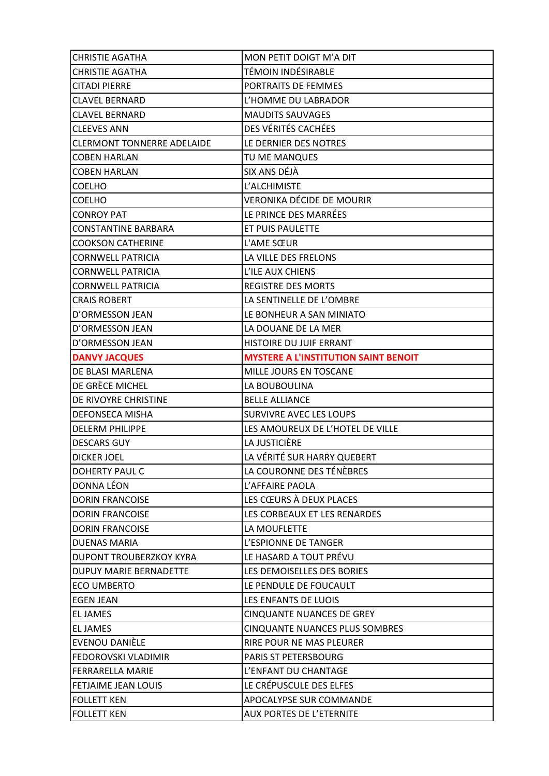| <b>CHRISTIE AGATHA</b>            | MON PETIT DOIGT M'A DIT                     |
|-----------------------------------|---------------------------------------------|
| <b>CHRISTIE AGATHA</b>            | TÉMOIN INDÉSIRABLE                          |
| <b>CITADI PIERRE</b>              | PORTRAITS DE FEMMES                         |
| <b>CLAVEL BERNARD</b>             | L'HOMME DU LABRADOR                         |
| <b>CLAVEL BERNARD</b>             | <b>MAUDITS SAUVAGES</b>                     |
| <b>CLEEVES ANN</b>                | DES VÉRITÉS CACHÉES                         |
| <b>CLERMONT TONNERRE ADELAIDE</b> | LE DERNIER DES NOTRES                       |
| <b>COBEN HARLAN</b>               | TU ME MANQUES                               |
| <b>COBEN HARLAN</b>               | SIX ANS DÉJÀ                                |
| <b>COELHO</b>                     | L'ALCHIMISTE                                |
| <b>COELHO</b>                     | VERONIKA DÉCIDE DE MOURIR                   |
| <b>CONROY PAT</b>                 | LE PRINCE DES MARRÉES                       |
| <b>CONSTANTINE BARBARA</b>        | ET PUIS PAULETTE                            |
| <b>COOKSON CATHERINE</b>          | L'AME SŒUR                                  |
| <b>CORNWELL PATRICIA</b>          | LA VILLE DES FRELONS                        |
| <b>CORNWELL PATRICIA</b>          | L'ILE AUX CHIENS                            |
| <b>CORNWELL PATRICIA</b>          | <b>REGISTRE DES MORTS</b>                   |
| ICRAIS ROBERT                     | LA SENTINELLE DE L'OMBRE                    |
| D'ORMESSON JEAN                   | LE BONHEUR A SAN MINIATO                    |
| D'ORMESSON JEAN                   | LA DOUANE DE LA MER                         |
| D'ORMESSON JEAN                   | HISTOIRE DU JUIF ERRANT                     |
| <b>DANVY JACQUES</b>              | <b>MYSTERE A L'INSTITUTION SAINT BENOIT</b> |
| DE BLASI MARLENA                  | MILLE JOURS EN TOSCANE                      |
| DE GRÈCE MICHEL                   | LA BOUBOULINA                               |
| DE RIVOYRE CHRISTINE              | <b>BELLE ALLIANCE</b>                       |
| <b>DEFONSECA MISHA</b>            | <b>SURVIVRE AVEC LES LOUPS</b>              |
| <b>DELERM PHILIPPE</b>            | LES AMOUREUX DE L'HOTEL DE VILLE            |
| <b>DESCARS GUY</b>                | LA JUSTICIÈRE                               |
| <b>DICKER JOEL</b>                | LA VÉRITÉ SUR HARRY QUEBERT                 |
| DOHERTY PAUL C                    | LA COURONNE DES TÉNÈBRES                    |
| <b>DONNA LÉON</b>                 | L'AFFAIRE PAOLA                             |
| <b>DORIN FRANCOISE</b>            | LES CŒURS À DEUX PLACES                     |
| <b>DORIN FRANCOISE</b>            | LES CORBEAUX ET LES RENARDES                |
| <b>DORIN FRANCOISE</b>            | LA MOUFLETTE                                |
| <b>DUENAS MARIA</b>               | L'ESPIONNE DE TANGER                        |
| <b>DUPONT TROUBERZKOY KYRA</b>    | LE HASARD A TOUT PRÉVU                      |
| DUPUY MARIE BERNADETTE            | LES DEMOISELLES DES BORIES                  |
| <b>ECO UMBERTO</b>                | LE PENDULE DE FOUCAULT                      |
| <b>EGEN JEAN</b>                  | LES ENFANTS DE LUOIS                        |
| <b>EL JAMES</b>                   | <b>CINQUANTE NUANCES DE GREY</b>            |
| <b>EL JAMES</b>                   | <b>CINQUANTE NUANCES PLUS SOMBRES</b>       |
| EVENOU DANIÈLE                    | RIRE POUR NE MAS PLEURER                    |
| FEDOROVSKI VLADIMIR               | PARIS ST PETERSBOURG                        |
| <b>FERRARELLA MARIE</b>           | L'ENFANT DU CHANTAGE                        |
| <b>FETJAIME JEAN LOUIS</b>        | LE CRÉPUSCULE DES ELFES                     |
| <b>FOLLETT KEN</b>                | APOCALYPSE SUR COMMANDE                     |
| <b>FOLLETT KEN</b>                | <b>AUX PORTES DE L'ETERNITE</b>             |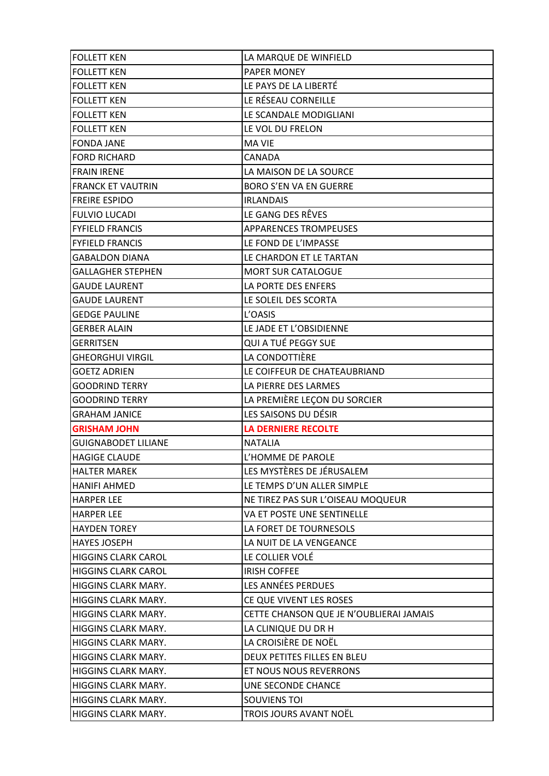| <b>FOLLETT KEN</b>         | LA MARQUE DE WINFIELD                   |
|----------------------------|-----------------------------------------|
| <b>FOLLETT KEN</b>         | PAPER MONEY                             |
| <b>FOLLETT KEN</b>         | LE PAYS DE LA LIBERTÉ                   |
| <b>FOLLETT KEN</b>         | LE RÉSEAU CORNEILLE                     |
| <b>FOLLETT KEN</b>         | LE SCANDALE MODIGLIANI                  |
| <b>FOLLETT KEN</b>         | LE VOL DU FRELON                        |
| <b>FONDA JANE</b>          | <b>MA VIE</b>                           |
| <b>FORD RICHARD</b>        | CANADA                                  |
| <b>FRAIN IRENE</b>         | LA MAISON DE LA SOURCE                  |
| <b>FRANCK ET VAUTRIN</b>   | <b>BORO S'EN VA EN GUERRE</b>           |
| <b>FREIRE ESPIDO</b>       | <b>IRLANDAIS</b>                        |
| <b>FULVIO LUCADI</b>       | LE GANG DES RÊVES                       |
| <b>FYFIELD FRANCIS</b>     | APPARENCES TROMPEUSES                   |
| <b>FYFIELD FRANCIS</b>     | LE FOND DE L'IMPASSE                    |
| <b>GABALDON DIANA</b>      | LE CHARDON ET LE TARTAN                 |
| <b>GALLAGHER STEPHEN</b>   | <b>MORT SUR CATALOGUE</b>               |
| <b>GAUDE LAURENT</b>       | LA PORTE DES ENFERS                     |
| <b>GAUDE LAURENT</b>       | LE SOLEIL DES SCORTA                    |
| <b>GEDGE PAULINE</b>       | L'OASIS                                 |
| <b>GERBER ALAIN</b>        | LE JADE ET L'OBSIDIENNE                 |
| GERRITSEN                  | QUI A TUÉ PEGGY SUE                     |
| <b>GHEORGHUI VIRGIL</b>    | LA CONDOTTIÈRE                          |
| <b>GOETZ ADRIEN</b>        | LE COIFFEUR DE CHATEAUBRIAND            |
| <b>GOODRIND TERRY</b>      | LA PIERRE DES LARMES                    |
| <b>GOODRIND TERRY</b>      | LA PREMIÈRE LEÇON DU SORCIER            |
| <b>GRAHAM JANICE</b>       | LES SAISONS DU DÉSIR                    |
| <b>GRISHAM JOHN</b>        | <b>LA DERNIERE RECOLTE</b>              |
| <b>GUIGNABODET LILIANE</b> | <b>NATALIA</b>                          |
| <b>HAGIGE CLAUDE</b>       | L'HOMME DE PAROLE                       |
| <b>HALTER MAREK</b>        | LES MYSTÈRES DE JÉRUSALEM               |
| <b>HANIFI AHMED</b>        | LE TEMPS D'UN ALLER SIMPLE              |
| <b>HARPER LEE</b>          | NE TIREZ PAS SUR L'OISEAU MOQUEUR       |
| <b>HARPER LEE</b>          | VA ET POSTE UNE SENTINELLE              |
| <b>HAYDEN TOREY</b>        | LA FORET DE TOURNESOLS                  |
| <b>HAYES JOSEPH</b>        | LA NUIT DE LA VENGEANCE                 |
| <b>HIGGINS CLARK CAROL</b> | LE COLLIER VOLÉ                         |
| <b>HIGGINS CLARK CAROL</b> | <b>IRISH COFFEE</b>                     |
| HIGGINS CLARK MARY.        | LES ANNÉES PERDUES                      |
| HIGGINS CLARK MARY.        | CE QUE VIVENT LES ROSES                 |
| HIGGINS CLARK MARY.        | CETTE CHANSON QUE JE N'OUBLIERAI JAMAIS |
| HIGGINS CLARK MARY.        | LA CLINIQUE DU DR H                     |
| HIGGINS CLARK MARY.        | LA CROISIÈRE DE NOËL                    |
| HIGGINS CLARK MARY.        | DEUX PETITES FILLES EN BLEU             |
| HIGGINS CLARK MARY.        | ET NOUS NOUS REVERRONS                  |
| HIGGINS CLARK MARY.        | UNE SECONDE CHANCE                      |
| HIGGINS CLARK MARY.        | <b>SOUVIENS TOI</b>                     |
| HIGGINS CLARK MARY.        | TROIS JOURS AVANT NOËL                  |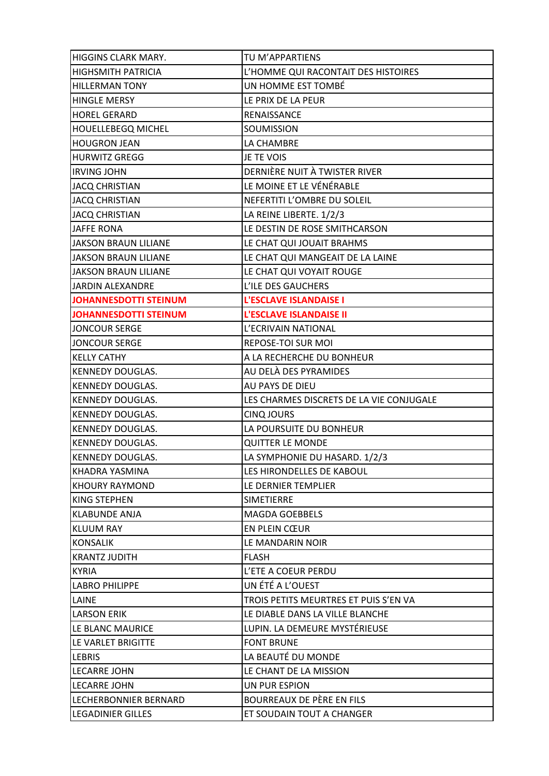| <b>HIGGINS CLARK MARY.</b>   | TU M'APPARTIENS                          |
|------------------------------|------------------------------------------|
| <b>HIGHSMITH PATRICIA</b>    | L'HOMME QUI RACONTAIT DES HISTOIRES      |
| <b>HILLERMAN TONY</b>        | UN HOMME EST TOMBÉ                       |
| <b>HINGLE MERSY</b>          | LE PRIX DE LA PEUR                       |
| <b>HOREL GERARD</b>          | RENAISSANCE                              |
| <b>HOUELLEBEGQ MICHEL</b>    | SOUMISSION                               |
| <b>HOUGRON JEAN</b>          | LA CHAMBRE                               |
| <b>HURWITZ GREGG</b>         | JE TE VOIS                               |
| <b>IRVING JOHN</b>           | DERNIÈRE NUIT À TWISTER RIVER            |
| <b>JACQ CHRISTIAN</b>        | LE MOINE ET LE VÉNÉRABLE                 |
| <b>JACQ CHRISTIAN</b>        | NEFERTITI L'OMBRE DU SOLEIL              |
| <b>JACQ CHRISTIAN</b>        | LA REINE LIBERTE. 1/2/3                  |
| <b>JAFFE RONA</b>            | LE DESTIN DE ROSE SMITHCARSON            |
| <b>JAKSON BRAUN LILIANE</b>  | LE CHAT QUI JOUAIT BRAHMS                |
| <b>JAKSON BRAUN LILIANE</b>  | LE CHAT QUI MANGEAIT DE LA LAINE         |
| <b>JAKSON BRAUN LILIANE</b>  | LE CHAT QUI VOYAIT ROUGE                 |
| JARDIN ALEXANDRE             | L'ILE DES GAUCHERS                       |
| JOHANNESDOTTI STEINUM        | L'ESCLAVE ISLANDAISE I                   |
| <b>JOHANNESDOTTI STEINUM</b> | L'ESCLAVE ISLANDAISE II                  |
| <b>JONCOUR SERGE</b>         | L'ECRIVAIN NATIONAL                      |
| <b>JONCOUR SERGE</b>         | REPOSE-TOI SUR MOI                       |
| <b>KELLY CATHY</b>           | A LA RECHERCHE DU BONHEUR                |
| <b>KENNEDY DOUGLAS.</b>      | AU DELÀ DES PYRAMIDES                    |
| <b>KENNEDY DOUGLAS.</b>      | AU PAYS DE DIEU                          |
| <b>KENNEDY DOUGLAS.</b>      | LES CHARMES DISCRETS DE LA VIE CONJUGALE |
| <b>KENNEDY DOUGLAS.</b>      | <b>CINQ JOURS</b>                        |
| <b>KENNEDY DOUGLAS.</b>      | LA POURSUITE DU BONHEUR                  |
| <b>KENNEDY DOUGLAS.</b>      | <b>QUITTER LE MONDE</b>                  |
| <b>KENNEDY DOUGLAS.</b>      | LA SYMPHONIE DU HASARD. 1/2/3            |
| KHADRA YASMINA               | LES HIRONDELLES DE KABOUL                |
| IKHOURY RAYMOND              | LE DERNIER TEMPLIER                      |
| KING STEPHEN                 | <b>SIMETIERRE</b>                        |
| <b>KLABUNDE ANJA</b>         | <b>MAGDA GOEBBELS</b>                    |
| <b>KLUUM RAY</b>             | EN PLEIN CŒUR                            |
| <b>KONSALIK</b>              | LE MANDARIN NOIR                         |
| <b>KRANTZ JUDITH</b>         | <b>FLASH</b>                             |
| <b>KYRIA</b>                 | L'ETE A COEUR PERDU                      |
| <b>LABRO PHILIPPE</b>        | UN ÉTÉ A L'OUEST                         |
| LAINE                        | TROIS PETITS MEURTRES ET PUIS S'EN VA    |
| LARSON ERIK                  | LE DIABLE DANS LA VILLE BLANCHE          |
| LE BLANC MAURICE             | LUPIN. LA DEMEURE MYSTÉRIEUSE            |
| LE VARLET BRIGITTE           | <b>FONT BRUNE</b>                        |
| <b>LEBRIS</b>                | LA BEAUTÉ DU MONDE                       |
| <b>LECARRE JOHN</b>          | LE CHANT DE LA MISSION                   |
| <b>LECARRE JOHN</b>          | UN PUR ESPION                            |
| <b>LECHERBONNIER BERNARD</b> | BOURREAUX DE PÈRE EN FILS                |
| <b>LEGADINIER GILLES</b>     | ET SOUDAIN TOUT A CHANGER                |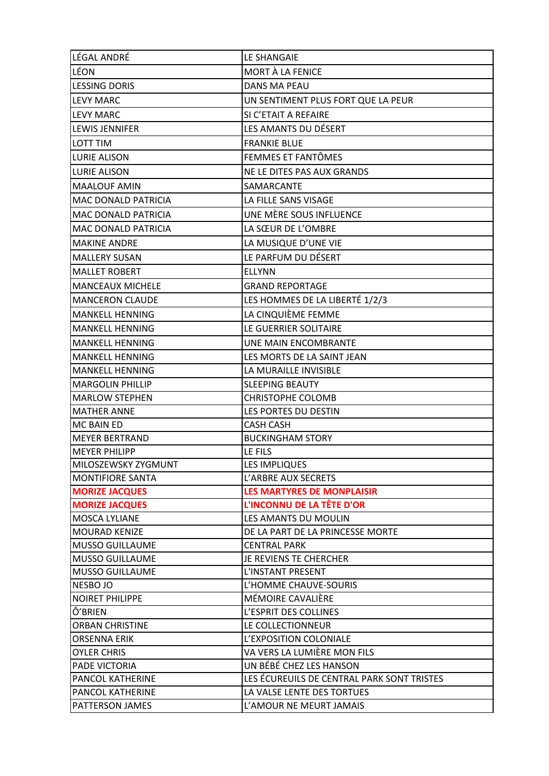| LÉGAL ANDRÉ                         | LE SHANGAIE                                            |
|-------------------------------------|--------------------------------------------------------|
| LÉON                                | MORT À LA FENICE                                       |
| <b>LESSING DORIS</b>                | <b>DANS MA PEAU</b>                                    |
| <b>LEVY MARC</b>                    | UN SENTIMENT PLUS FORT QUE LA PEUR                     |
| <b>LEVY MARC</b>                    | SI C'ETAIT A REFAIRE                                   |
| <b>LEWIS JENNIFER</b>               | LES AMANTS DU DÉSERT                                   |
| LOTT TIM                            | <b>FRANKIE BLUE</b>                                    |
| <b>LURIE ALISON</b>                 | FEMMES ET FANTÔMES                                     |
| <b>LURIE ALISON</b>                 | NE LE DITES PAS AUX GRANDS                             |
| <b>MAALOUF AMIN</b>                 | SAMARCANTE                                             |
| <b>MAC DONALD PATRICIA</b>          | LA FILLE SANS VISAGE                                   |
| MAC DONALD PATRICIA                 | UNE MÈRE SOUS INFLUENCE                                |
| MAC DONALD PATRICIA                 | LA SŒUR DE L'OMBRE                                     |
| <b>MAKINE ANDRE</b>                 | LA MUSIQUE D'UNE VIE                                   |
| <b>MALLERY SUSAN</b>                | LE PARFUM DU DÉSERT                                    |
| <b>MALLET ROBERT</b>                | <b>ELLYNN</b>                                          |
| <b>MANCEAUX MICHELE</b>             | <b>GRAND REPORTAGE</b>                                 |
| <b>MANCERON CLAUDE</b>              | LES HOMMES DE LA LIBERTÉ 1/2/3                         |
| <b>MANKELL HENNING</b>              | LA CINQUIÈME FEMME                                     |
| <b>MANKELL HENNING</b>              | LE GUERRIER SOLITAIRE                                  |
| <b>MANKELL HENNING</b>              | UNE MAIN ENCOMBRANTE                                   |
| <b>MANKELL HENNING</b>              | LES MORTS DE LA SAINT JEAN                             |
| <b>MANKELL HENNING</b>              | LA MURAILLE INVISIBLE                                  |
| <b>MARGOLIN PHILLIP</b>             | <b>SLEEPING BEAUTY</b>                                 |
| <b>MARLOW STEPHEN</b>               | <b>CHRISTOPHE COLOMB</b>                               |
| <b>MATHER ANNE</b>                  | LES PORTES DU DESTIN                                   |
| MC BAIN ED                          | <b>CASH CASH</b>                                       |
| <b>MEYER BERTRAND</b>               | <b>BUCKINGHAM STORY</b>                                |
| <b>MEYER PHILIPP</b>                | LE FILS                                                |
| MILOSZEWSKY ZYGMUNT                 | <b>LES IMPLIQUES</b>                                   |
| <b>MONTIFIORE SANTA</b>             | L'ARBRE AUX SECRETS                                    |
| <b>MORIZE JACQUES</b>               | <b>LES MARTYRES DE MONPLAISIR</b>                      |
| <b>MORIZE JACQUES</b>               | L'INCONNU DE LA TÊTE D'OR                              |
| <b>MOSCA LYLIANE</b>                | <b>LES AMANTS DU MOULIN</b>                            |
| <b>MOURAD KENIZE</b>                | DE LA PART DE LA PRINCESSE MORTE                       |
| <b>MUSSO GUILLAUME</b>              | <b>CENTRAL PARK</b>                                    |
| <b>MUSSO GUILLAUME</b>              | JE REVIENS TE CHERCHER                                 |
| <b>MUSSO GUILLAUME</b>              | L'INSTANT PRESENT                                      |
| NESBO JO                            | L'HOMME CHAUVE-SOURIS                                  |
| <b>NOIRET PHILIPPE</b>              | MÉMOIRE CAVALIÈRE                                      |
| Ô'BRIEN                             | L'ESPRIT DES COLLINES                                  |
| <b>ORBAN CHRISTINE</b>              | LE COLLECTIONNEUR                                      |
| <b>ORSENNA ERIK</b>                 | L'EXPOSITION COLONIALE                                 |
| <b>OYLER CHRIS</b><br>PADE VICTORIA | VA VERS LA LUMIÈRE MON FILS<br>UN BÉBÉ CHEZ LES HANSON |
| <b>PANCOL KATHERINE</b>             | LES ÉCUREUILS DE CENTRAL PARK SONT TRISTES             |
| <b>PANCOL KATHERINE</b>             | LA VALSE LENTE DES TORTUES                             |
| PATTERSON JAMES                     | L'AMOUR NE MEURT JAMAIS                                |
|                                     |                                                        |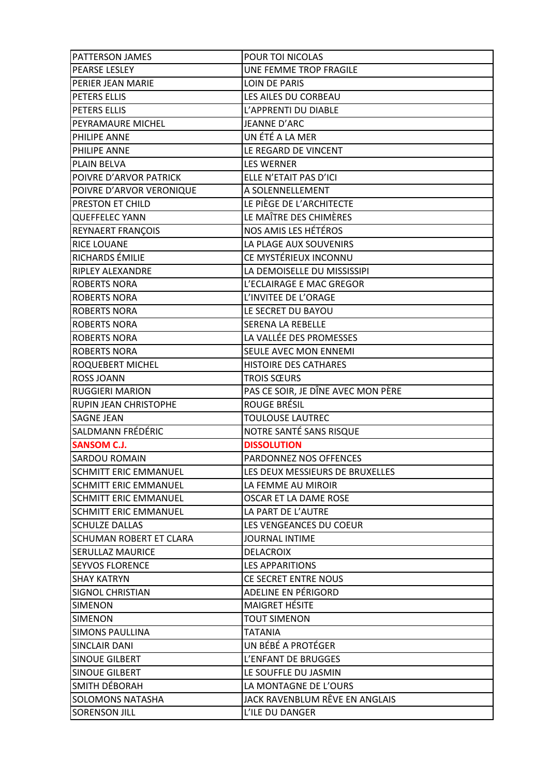| PATTERSON JAMES                                 | POUR TOI NICOLAS                                  |
|-------------------------------------------------|---------------------------------------------------|
| PEARSE LESLEY                                   | UNE FEMME TROP FRAGILE                            |
| PERIER JEAN MARIE                               | <b>LOIN DE PARIS</b>                              |
| PETERS ELLIS                                    | LES AILES DU CORBEAU                              |
| PETERS ELLIS                                    | L'APPRENTI DU DIABLE                              |
| PEYRAMAURE MICHEL                               | JEANNE D'ARC                                      |
| PHILIPE ANNE                                    | UN ÉTÉ A LA MER                                   |
| PHILIPE ANNE                                    | LE REGARD DE VINCENT                              |
| <b>PLAIN BELVA</b>                              | <b>LES WERNER</b>                                 |
| POIVRE D'ARVOR PATRICK                          | ELLE N'ETAIT PAS D'ICI                            |
| POIVRE D'ARVOR VERONIQUE                        | A SOLENNELLEMENT                                  |
| PRESTON ET CHILD                                | LE PIÈGE DE L'ARCHITECTE                          |
| <b>QUEFFELEC YANN</b>                           | LE MAÎTRE DES CHIMÈRES                            |
| REYNAERT FRANÇOIS                               | NOS AMIS LES HÉTÉROS                              |
| <b>RICE LOUANE</b>                              | LA PLAGE AUX SOUVENIRS                            |
| RICHARDS ÉMILIE                                 | CE MYSTÉRIEUX INCONNU                             |
| RIPLEY ALEXANDRE                                | LA DEMOISELLE DU MISSISSIPI                       |
| <b>ROBERTS NORA</b>                             | L'ECLAIRAGE E MAC GREGOR                          |
| <b>ROBERTS NORA</b>                             | L'INVITEE DE L'ORAGE                              |
| <b>ROBERTS NORA</b>                             | LE SECRET DU BAYOU                                |
| <b>ROBERTS NORA</b>                             | SERENA LA REBELLE                                 |
| <b>ROBERTS NORA</b>                             | LA VALLÉE DES PROMESSES                           |
| <b>ROBERTS NORA</b>                             | SEULE AVEC MON ENNEMI                             |
| ROQUEBERT MICHEL                                | HISTOIRE DES CATHARES                             |
| <b>ROSS JOANN</b>                               | <b>TROIS SŒURS</b>                                |
| <b>RUGGIERI MARION</b>                          | PAS CE SOIR, JE DÎNE AVEC MON PERE                |
| RUPIN JEAN CHRISTOPHE                           | ROUGE BRÉSIL                                      |
| <b>SAGNE JEAN</b>                               | <b>TOULOUSE LAUTREC</b>                           |
| SALDMANN FRÉDÉRIC                               | NOTRE SANTÉ SANS RISQUE                           |
| <b>SANSOM C.J.</b>                              | <b>DISSOLUTION</b>                                |
| <b>SARDOU ROMAIN</b>                            | PARDONNEZ NOS OFFENCES                            |
| <b>SCHMITT ERIC EMMANUEL</b>                    | LES DEUX MESSIEURS DE BRUXELLES                   |
| <b>SCHMITT ERIC EMMANUEL</b>                    | LA FEMME AU MIROIR                                |
| <b>SCHMITT ERIC EMMANUEL</b>                    | OSCAR ET LA DAME ROSE                             |
| <b>SCHMITT ERIC EMMANUEL</b>                    | LA PART DE L'AUTRE                                |
| <b>SCHULZE DALLAS</b>                           | LES VENGEANCES DU COEUR                           |
| SCHUMAN ROBERT ET CLARA                         | <b>JOURNAL INTIME</b>                             |
| SERULLAZ MAURICE                                |                                                   |
|                                                 | <b>DELACROIX</b>                                  |
| <b>SEYVOS FLORENCE</b>                          | <b>LES APPARITIONS</b>                            |
| <b>SHAY KATRYN</b>                              | CE SECRET ENTRE NOUS                              |
| SIGNOL CHRISTIAN                                | ADELINE EN PÉRIGORD                               |
| <b>SIMENON</b>                                  | <b>MAIGRET HÉSITE</b>                             |
| <b>SIMENON</b>                                  | <b>TOUT SIMENON</b>                               |
| <b>SIMONS PAULLINA</b>                          | TATANIA                                           |
| <b>SINCLAIR DANI</b>                            | UN BÉBÉ A PROTÉGER                                |
| <b>SINOUE GILBERT</b>                           | L'ENFANT DE BRUGGES                               |
| <b>SINOUE GILBERT</b>                           | LE SOUFFLE DU JASMIN                              |
| SMITH DÉBORAH                                   | LA MONTAGNE DE L'OURS                             |
| <b>SOLOMONS NATASHA</b><br><b>SORENSON JILL</b> | JACK RAVENBLUM RÊVE EN ANGLAIS<br>L'ILE DU DANGER |